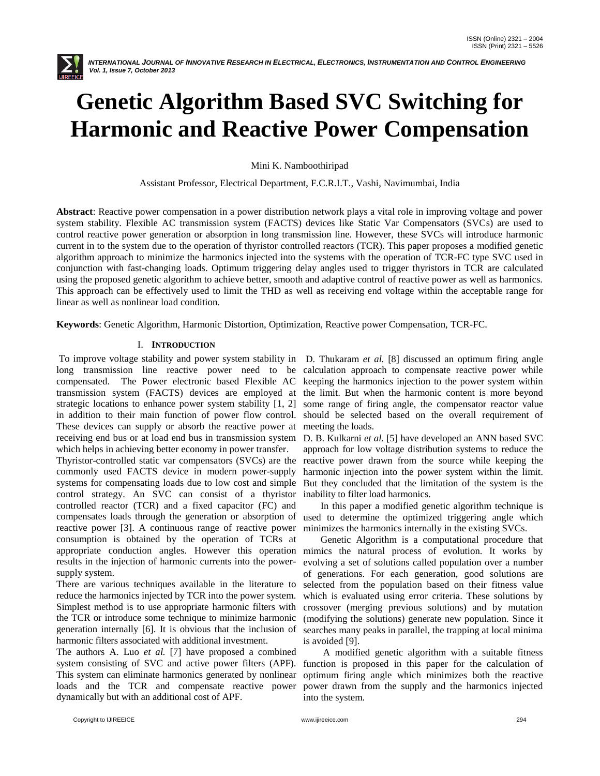

# **Genetic Algorithm Based SVC Switching for Harmonic and Reactive Power Compensation**

Mini K. Namboothiripad

Assistant Professor, Electrical Department, F.C.R.I.T., Vashi, Navimumbai, India

**Abstract**: Reactive power compensation in a power distribution network plays a vital role in improving voltage and power system stability. Flexible AC transmission system (FACTS) devices like Static Var Compensators (SVCs) are used to control reactive power generation or absorption in long transmission line. However, these SVCs will introduce harmonic current in to the system due to the operation of thyristor controlled reactors (TCR). This paper proposes a modified genetic algorithm approach to minimize the harmonics injected into the systems with the operation of TCR-FC type SVC used in conjunction with fast-changing loads. Optimum triggering delay angles used to trigger thyristors in TCR are calculated using the proposed genetic algorithm to achieve better, smooth and adaptive control of reactive power as well as harmonics. This approach can be effectively used to limit the THD as well as receiving end voltage within the acceptable range for linear as well as nonlinear load condition.

**Keywords**: Genetic Algorithm, Harmonic Distortion, Optimization, Reactive power Compensation, TCR-FC.

# I. **INTRODUCTION**

To improve voltage stability and power system stability in long transmission line reactive power need to be calculation approach to compensate reactive power while compensated. The Power electronic based Flexible AC transmission system (FACTS) devices are employed at strategic locations to enhance power system stability [1, 2] in addition to their main function of power flow control. These devices can supply or absorb the reactive power at receiving end bus or at load end bus in transmission system D. B. Kulkarni *et al.* [5] have developed an ANN based SVC which helps in achieving better economy in power transfer.

Thyristor-controlled static var compensators (SVCs) are the commonly used FACTS device in modern power-supply systems for compensating loads due to low cost and simple control strategy. An SVC can consist of a thyristor controlled reactor (TCR) and a fixed capacitor (FC) and compensates loads through the generation or absorption of reactive power [3]. A continuous range of reactive power consumption is obtained by the operation of TCRs at appropriate conduction angles. However this operation mimics the natural process of evolution. It works by results in the injection of harmonic currents into the powersupply system.

There are various techniques available in the literature to reduce the harmonics injected by TCR into the power system. Simplest method is to use appropriate harmonic filters with the TCR or introduce some technique to minimize harmonic generation internally [6]. It is obvious that the inclusion of harmonic filters associated with additional investment.

The authors A. Luo *et al.* [7] have proposed a combined system consisting of SVC and active power filters (APF). This system can eliminate harmonics generated by nonlinear loads and the TCR and compensate reactive power dynamically but with an additional cost of APF.

D. Thukaram *et al.* [8] discussed an optimum firing angle keeping the harmonics injection to the power system within the limit. But when the harmonic content is more beyond some range of firing angle, the compensator reactor value should be selected based on the overall requirement of meeting the loads.

approach for low voltage distribution systems to reduce the reactive power drawn from the source while keeping the harmonic injection into the power system within the limit. But they concluded that the limitation of the system is the inability to filter load harmonics.

 In this paper a modified genetic algorithm technique is used to determine the optimized triggering angle which minimizes the harmonics internally in the existing SVCs.

 Genetic Algorithm is a computational procedure that evolving a set of solutions called population over a number of generations. For each generation, good solutions are selected from the population based on their fitness value which is evaluated using error criteria. These solutions by crossover (merging previous solutions) and by mutation (modifying the solutions) generate new population. Since it searches many peaks in parallel, the trapping at local minima is avoided [9].

 A modified genetic algorithm with a suitable fitness function is proposed in this paper for the calculation of optimum firing angle which minimizes both the reactive power drawn from the supply and the harmonics injected into the system.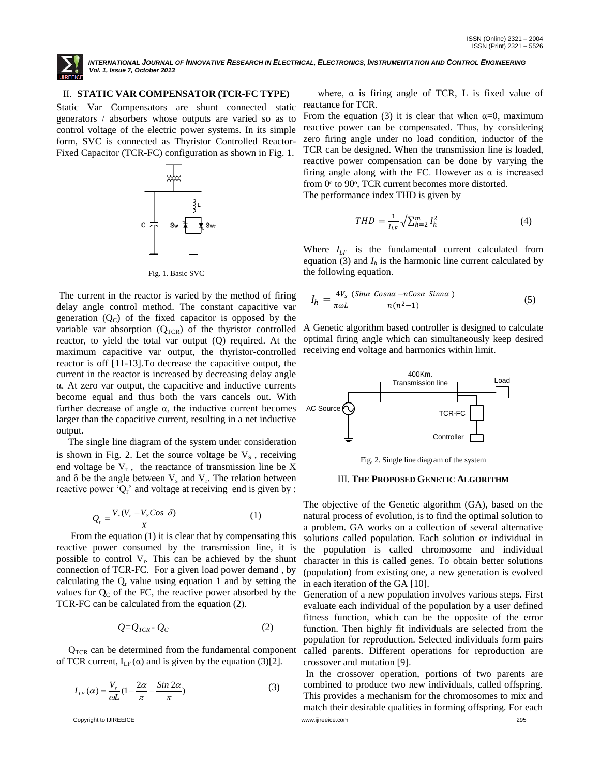

## II. **STATIC VAR COMPENSATOR (TCR-FC TYPE)**

Static Var Compensators are shunt connected static generators / absorbers whose outputs are varied so as to control voltage of the electric power systems. In its simple form, SVC is connected as Thyristor Controlled Reactor-Fixed Capacitor (TCR-FC) configuration as shown in Fig. 1.



Fig. 1. Basic SVC

The current in the reactor is varied by the method of firing delay angle control method. The constant capacitive var generation  $(Q_C)$  of the fixed capacitor is opposed by the variable var absorption  $(Q_{TCR})$  of the thyristor controlled reactor, to yield the total var output (Q) required. At the maximum capacitive var output, the thyristor-controlled reactor is off [11-13].To decrease the capacitive output, the current in the reactor is increased by decreasing delay angle α. At zero var output, the capacitive and inductive currents become equal and thus both the vars cancels out. With further decrease of angle  $\alpha$ , the inductive current becomes larger than the capacitive current, resulting in a net inductive output.

 The single line diagram of the system under consideration is shown in Fig. 2. Let the source voltage be  $V_s$ , receiving end voltage be  $V_r$ , the reactance of transmission line be X and  $\delta$  be the angle between  $V_s$  and  $V_r$ . The relation between reactive power ' $Q_r$ ' and voltage at receiving end is given by :

$$
Q_r = \frac{V_r (V_r - V_s \cos \delta)}{X} \tag{1}
$$

 From the equation (1) it is clear that by compensating this reactive power consumed by the transmission line, it is possible to control  $V_r$ . This can be achieved by the shunt connection of TCR-FC. For a given load power demand , by calculating the  $Q<sub>r</sub>$  value using equation 1 and by setting the values for  $Q_C$  of the FC, the reactive power absorbed by the TCR-FC can be calculated from the equation (2).

$$
Q = Q_{TCR} - Q_C \tag{2}
$$

 $Q_{TCR}$  can be determined from the fundamental component of TCR current,  $I_{LF}(\alpha)$  and is given by the equation (3)[2].

$$
I_{IF}(\alpha) = \frac{V_r}{\omega L} (1 - \frac{2\alpha}{\pi} - \frac{\sin 2\alpha}{\pi})
$$
\n(3)

where,  $\alpha$  is firing angle of TCR, L is fixed value of reactance for TCR.

From the equation (3) it is clear that when  $\alpha=0$ , maximum reactive power can be compensated. Thus, by considering zero firing angle under no load condition, inductor of the TCR can be designed. When the transmission line is loaded, reactive power compensation can be done by varying the firing angle along with the FC. However as  $\alpha$  is increased from  $0^\circ$  to  $90^\circ$ , TCR current becomes more distorted.

The performance index THD is given by

$$
THD = \frac{1}{l_{LF}} \sqrt{\sum_{h=2}^{m} l_h^2}
$$
 (4)

Where  $I_{LF}$  is the fundamental current calculated from equation (3) and  $I_h$  is the harmonic line current calculated by the following equation.

$$
I_h = \frac{4V_s}{\pi \omega L} \frac{(Sin\alpha \text{ Cosna} - n\text{Cos}\alpha \text{ Sinna})}{n(n^2 - 1)}
$$
(5)

A Genetic algorithm based controller is designed to calculate optimal firing angle which can simultaneously keep desired receiving end voltage and harmonics within limit.



Fig. 2. Single line diagram of the system

### III. **THE PROPOSED GENETIC ALGORITHM**

The objective of the Genetic algorithm (GA), based on the natural process of evolution, is to find the optimal solution to a problem. GA works on a collection of several alternative solutions called population. Each solution or individual in the population is called chromosome and individual character in this is called genes. To obtain better solutions (population) from existing one, a new generation is evolved in each iteration of the GA [10].

Generation of a new population involves various steps. First evaluate each individual of the population by a user defined fitness function, which can be the opposite of the error function. Then highly fit individuals are selected from the population for reproduction. Selected individuals form pairs called parents. Different operations for reproduction are crossover and mutation [9].

Copyright to IJIREEICE [www.ijireeice.com](http://www.ijireeice.com/) 295 In the crossover operation, portions of two parents are combined to produce two new individuals, called offspring. This provides a mechanism for the chromosomes to mix and match their desirable qualities in forming offspring. For each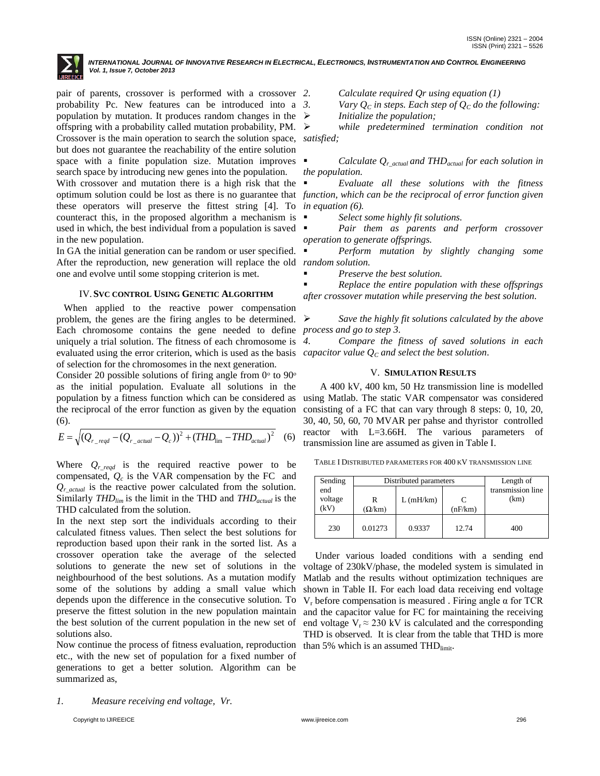

pair of parents, crossover is performed with a crossover 2. probability Pc. New features can be introduced into a population by mutation. It produces random changes in the  $\triangleright$ offspring with a probability called mutation probability, PM. Crossover is the main operation to search the solution space, *satisfied;* but does not guarantee the reachability of the entire solution space with a finite population size. Mutation improves search space by introducing new genes into the population.

With crossover and mutation there is a high risk that the these operators will preserve the fittest string [4]. To *in equation (6).* counteract this, in the proposed algorithm a mechanism is used in which, the best individual from a population is saved in the new population.

In GA the initial generation can be random or user specified. After the reproduction, new generation will replace the old *random solution.* one and evolve until some stopping criterion is met.

### IV.**SVC CONTROL USING GENETIC ALGORITHM**

 When applied to the reactive power compensation problem, the genes are the firing angles to be determined.  $\triangleright$ Each chromosome contains the gene needed to define *process and go to step 3.* uniquely a trial solution. The fitness of each chromosome is 4. evaluated using the error criterion, which is used as the basis *capacitor value Q<sup>C</sup> and select the best solution.* of selection for the chromosomes in the next generation.

Consider 20 possible solutions of firing angle from  $0^{\circ}$  to  $90^{\circ}$ as the initial population. Evaluate all solutions in the population by a fitness function which can be considered as the reciprocal of the error function as given by the equation (6).

$$
E = \sqrt{(Q_{r\_reqd} - (Q_{r\_actual} - Q_c))^2 + (THD_{\text{lim}} - THD_{actual})^2}
$$
 (6)

Where  $Q_{r\_reqd}$  is the required reactive power to be compensated,  $Q_c$  is the VAR compensation by the FC and  $Q_{r,\text{actual}}$  is the reactive power calculated from the solution. Similarly *THDlim* is the limit in the THD and *THDactual* is the THD calculated from the solution.

In the next step sort the individuals according to their calculated fitness values. Then select the best solutions for reproduction based upon their rank in the sorted list. As a crossover operation take the average of the selected solutions to generate the new set of solutions in the neighbourhood of the best solutions. As a mutation modify some of the solutions by adding a small value which depends upon the difference in the consecutive solution. To preserve the fittest solution in the new population maintain the best solution of the current population in the new set of solutions also.

Now continue the process of fitness evaluation, reproduction etc., with the new set of population for a fixed number of generations to get a better solution. Algorithm can be summarized as,

*1. Measure receiving end voltage, Vr.*

*Initialize the population;*

*while predetermined termination condition not* 

*Vary*  $Q_c$  *in steps. Each step of*  $Q_c$  *<i>do the following:* 

*2. Calculate required Qr using equation (1)*

 *Calculate Qr\_actual and THDactual for each solution in the population.*

optimum solution could be lost as there is no guarantee that *function, which can be the reciprocal of error function given Evaluate all these solutions with the fitness* 

*Select some highly fit solutions.*

 *Pair them as parents and perform crossover operation to generate offsprings.*

*Perform mutation by slightly changing some* 

*Preserve the best solution.*

 *Replace the entire population with these offsprings after crossover mutation while preserving the best solution.*

*Save the highly fit solutions calculated by the above* 

*4. Compare the fitness of saved solutions in each* 

#### V. **SIMULATION RESULTS**

 A 400 kV, 400 km, 50 Hz transmission line is modelled using Matlab. The static VAR compensator was considered consisting of a FC that can vary through 8 steps: 0, 10, 20, 30, 40, 50, 60, 70 MVAR per pahse and thyristor controlled reactor with L=3.66H. The various parameters of transmission line are assumed as given in Table I.

TABLE I DISTRIBUTED PARAMETERS FOR 400 KV TRANSMISSION LINE

| Sending         | Distributed parameters | Length of |              |                   |
|-----------------|------------------------|-----------|--------------|-------------------|
| end             |                        |           |              | transmission line |
| voltage<br>(kV) | R<br>$(\Omega/km)$     | L(mH/km)  | C<br>(nF/km) | (km)              |
| 230             | 0.01273                | 0.9337    | 12.74        | 400               |

 Under various loaded conditions with a sending end voltage of 230kV/phase, the modeled system is simulated in Matlab and the results without optimization techniques are shown in Table II. For each load data receiving end voltage V<sub>r</sub> before compensation is measured. Firing angle  $α$  for TCR and the capacitor value for FC for maintaining the receiving end voltage  $V_r \approx 230 \text{ kV}$  is calculated and the corresponding THD is observed. It is clear from the table that THD is more than 5% which is an assumed THD $_{limit}$ .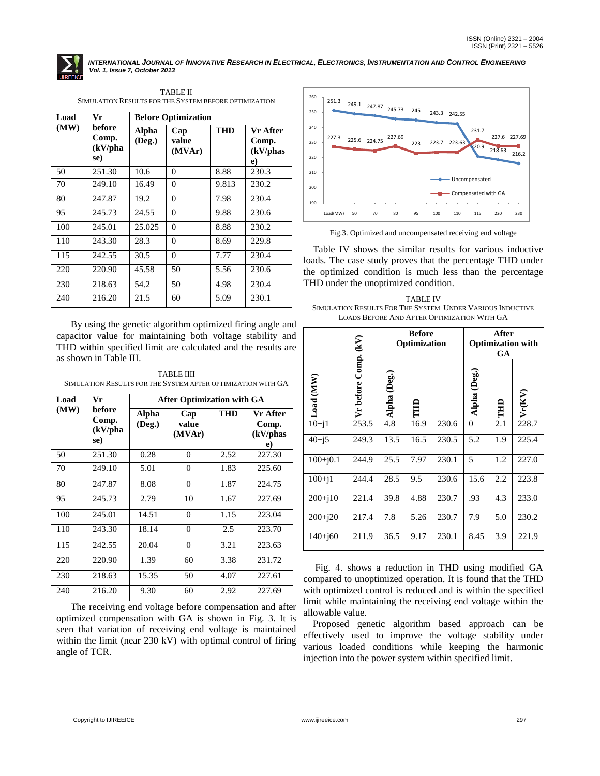

| Load | Vr                                          | <b>Before Optimization</b> |                        |            |                                           |
|------|---------------------------------------------|----------------------------|------------------------|------------|-------------------------------------------|
| (MW) | before<br>Comp.<br>$(kV/\text{pha})$<br>se) | Alpha<br>(Deg.)            | Cap<br>value<br>(MVAr) | <b>THD</b> | Vr After<br>Comp.<br>(kV/phas<br>$\bf{e}$ |
| 50   | 251.30                                      | 10.6                       | $\Omega$               | 8.88       | 230.3                                     |
| 70   | 249.10                                      | 16.49                      | $\Omega$               | 9.813      | 230.2                                     |
| 80   | 247.87                                      | 19.2                       | $\Omega$               | 7.98       | 230.4                                     |
| 95   | 245.73                                      | 24.55                      | $\theta$               | 9.88       | 230.6                                     |
| 100  | 245.01                                      | 25.025                     | $\Omega$               | 8.88       | 230.2                                     |
| 110  | 243.30                                      | 28.3                       | $\theta$               | 8.69       | 229.8                                     |
| 115  | 242.55                                      | 30.5                       | $\Omega$               | 7.77       | 230.4                                     |
| 220  | 220.90                                      | 45.58                      | 50                     | 5.56       | 230.6                                     |
| 230  | 218.63                                      | 54.2                       | 50                     | 4.98       | 230.4                                     |
| 240  | 216.20                                      | 21.5                       | 60                     | 5.09       | 230.1                                     |

TABLE II SIMULATION RESULTS FOR THE SYSTEM BEFORE OPTIMIZATION

 By using the genetic algorithm optimized firing angle and capacitor value for maintaining both voltage stability and THD within specified limit are calculated and the results are as shown in Table III.

TABLE IIII SIMULATION RESULTS FOR THE SYSTEM AFTER OPTIMIZATION WITH GA

| Load | Vr                                          | <b>After Optimization with GA</b> |                        |            |                                     |  |
|------|---------------------------------------------|-----------------------------------|------------------------|------------|-------------------------------------|--|
| (MW) | before<br>Comp.<br>$(kV/\text{pha})$<br>se) | <b>Alpha</b><br>(Deg.)            | Cap<br>value<br>(MVAr) | <b>THD</b> | Vr After<br>Comp.<br>(kV/phas<br>e) |  |
| 50   | 251.30                                      | 0.28                              | $\theta$               | 2.52       | 227.30                              |  |
| 70   | 249.10                                      | 5.01                              | 0                      | 1.83       | 225.60                              |  |
| 80   | 247.87                                      | 8.08                              | $\Omega$               | 1.87       | 224.75                              |  |
| 95   | 245.73                                      | 2.79                              | 10                     | 1.67       | 227.69                              |  |
| 100  | 245.01                                      | 14.51                             | $\theta$               | 1.15       | 223.04                              |  |
| 110  | 243.30                                      | 18.14                             | $\overline{0}$         | 2.5        | 223.70                              |  |
| 115  | 242.55                                      | 20.04                             | $\overline{0}$         | 3.21       | 223.63                              |  |
| 220  | 220.90                                      | 1.39                              | 60                     | 3.38       | 231.72                              |  |
| 230  | 218.63                                      | 15.35                             | 50                     | 4.07       | 227.61                              |  |
| 240  | 216.20                                      | 9.30                              | 60                     | 2.92       | 227.69                              |  |

 The receiving end voltage before compensation and after optimized compensation with GA is shown in Fig. 3. It is seen that variation of receiving end voltage is maintained within the limit (near 230 kV) with optimal control of firing angle of TCR.



Fig.3. Optimized and uncompensated receiving end voltage

 Table IV shows the similar results for various inductive loads. The case study proves that the percentage THD under the optimized condition is much less than the percentage THD under the unoptimized condition.

TABLE IV SIMULATION RESULTS FOR THE SYSTEM UNDER VARIOUS INDUCTIVE LOADS BEFORE AND AFTER OPTIMIZATION WITH GA

|             |                      | <b>Before</b><br>Optimization |      |       | After<br><b>Optimization with</b><br>GA |     |        |
|-------------|----------------------|-------------------------------|------|-------|-----------------------------------------|-----|--------|
| Load (MW)   | Vr before Comp. (kV) | Alpha (Deg.)                  | 且    |       | Alpha (Deg.)                            | 目   | Vr(KV) |
| $10 + i1$   | 253.5                | 4.8                           | 16.9 | 230.6 | $\theta$                                | 2.1 | 228.7  |
| $40 + j5$   | 249.3                | 13.5                          | 16.5 | 230.5 | 5.2                                     | 1.9 | 225.4  |
| $100+j0.1$  | 244.9                | 25.5                          | 7.97 | 230.1 | 5                                       | 1.2 | 227.0  |
| $100 + i1$  | 244.4                | 28.5                          | 9.5  | 230.6 | 15.6                                    | 2.2 | 223.8  |
| $200 + j10$ | 221.4                | 39.8                          | 4.88 | 230.7 | .93                                     | 4.3 | 233.0  |
| $200 + j20$ | 217.4                | 7.8                           | 5.26 | 230.7 | 7.9                                     | 5.0 | 230.2  |
| $140 + j60$ | 211.9                | 36.5                          | 9.17 | 230.1 | 8.45                                    | 3.9 | 221.9  |

 Fig. 4. shows a reduction in THD using modified GA compared to unoptimized operation. It is found that the THD with optimized control is reduced and is within the specified limit while maintaining the receiving end voltage within the allowable value.

 Proposed genetic algorithm based approach can be effectively used to improve the voltage stability under various loaded conditions while keeping the harmonic injection into the power system within specified limit.